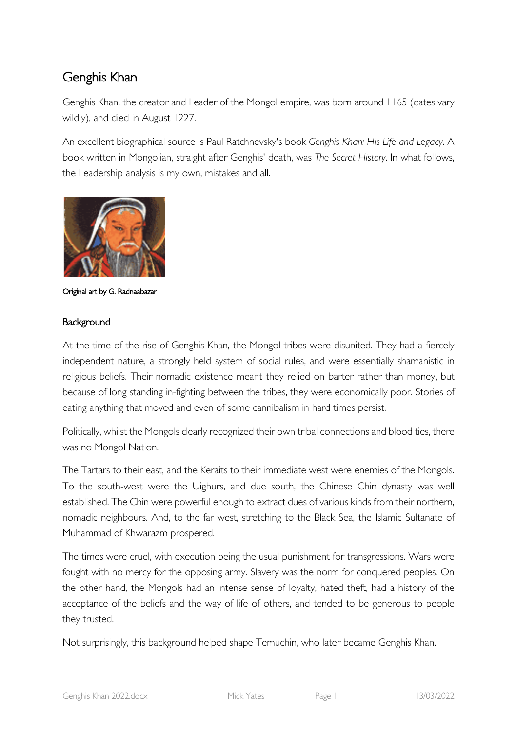# Genghis Khan

Genghis Khan, the creator and Leader of the Mongol empire, was born around 1165 (dates vary wildly), and died in August 1227.

An excellent biographical source is Paul Ratchnevsky's book *Genghis Khan: His Life and Legacy*. A book written in Mongolian, straight after Genghis' death, was *The Secret History*. In what follows, the Leadership analysis is my own, mistakes and all.



Original art by G. Radnaabazar

## Background

At the time of the rise of Genghis Khan, the Mongol tribes were disunited. They had a fiercely independent nature, a strongly held system of social rules, and were essentially shamanistic in religious beliefs. Their nomadic existence meant they relied on barter rather than money, but because of long standing in-fighting between the tribes, they were economically poor. Stories of eating anything that moved and even of some cannibalism in hard times persist.

Politically, whilst the Mongols clearly recognized their own tribal connections and blood ties, there was no Mongol Nation.

The Tartars to their east, and the Keraits to their immediate west were enemies of the Mongols. To the south-west were the Uighurs, and due south, the Chinese Chin dynasty was well established. The Chin were powerful enough to extract dues of various kinds from their northern, nomadic neighbours. And, to the far west, stretching to the Black Sea, the Islamic Sultanate of Muhammad of Khwarazm prospered.

The times were cruel, with execution being the usual punishment for transgressions. Wars were fought with no mercy for the opposing army. Slavery was the norm for conquered peoples. On the other hand, the Mongols had an intense sense of loyalty, hated theft, had a history of the acceptance of the beliefs and the way of life of others, and tended to be generous to people they trusted.

Not surprisingly, this background helped shape Temuchin, who later became Genghis Khan.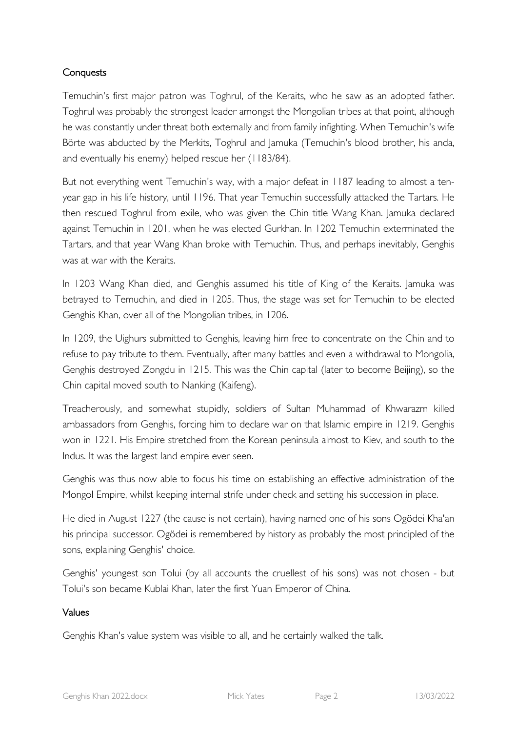## **Conquests**

Temuchin's first major patron was Toghrul, of the Keraits, who he saw as an adopted father. Toghrul was probably the strongest leader amongst the Mongolian tribes at that point, although he was constantly under threat both externally and from family infighting. When Temuchin's wife Börte was abducted by the Merkits, Toghrul and Jamuka (Temuchin's blood brother, his anda, and eventually his enemy) helped rescue her (1183/84).

But not everything went Temuchin's way, with a major defeat in 1187 leading to almost a tenyear gap in his life history, until 1196. That year Temuchin successfully attacked the Tartars. He then rescued Toghrul from exile, who was given the Chin title Wang Khan. Jamuka declared against Temuchin in 1201, when he was elected Gurkhan. In 1202 Temuchin exterminated the Tartars, and that year Wang Khan broke with Temuchin. Thus, and perhaps inevitably, Genghis was at war with the Keraits.

In 1203 Wang Khan died, and Genghis assumed his title of King of the Keraits. Jamuka was betrayed to Temuchin, and died in 1205. Thus, the stage was set for Temuchin to be elected Genghis Khan, over all of the Mongolian tribes, in 1206.

In 1209, the Uighurs submitted to Genghis, leaving him free to concentrate on the Chin and to refuse to pay tribute to them. Eventually, after many battles and even a withdrawal to Mongolia, Genghis destroyed Zongdu in 1215. This was the Chin capital (later to become Beijing), so the Chin capital moved south to Nanking (Kaifeng).

Treacherously, and somewhat stupidly, soldiers of Sultan Muhammad of Khwarazm killed ambassadors from Genghis, forcing him to declare war on that Islamic empire in 1219. Genghis won in 1221. His Empire stretched from the Korean peninsula almost to Kiev, and south to the Indus. It was the largest land empire ever seen.

Genghis was thus now able to focus his time on establishing an effective administration of the Mongol Empire, whilst keeping internal strife under check and setting his succession in place.

He died in August 1227 (the cause is not certain), having named one of his sons Ogödei Kha'an his principal successor. Ogödei is remembered by history as probably the most principled of the sons, explaining Genghis' choice.

Genghis' youngest son Tolui (by all accounts the cruellest of his sons) was not chosen - but Tolui's son became Kublai Khan, later the first Yuan Emperor of China.

## Values

Genghis Khan's value system was visible to all, and he certainly walked the talk.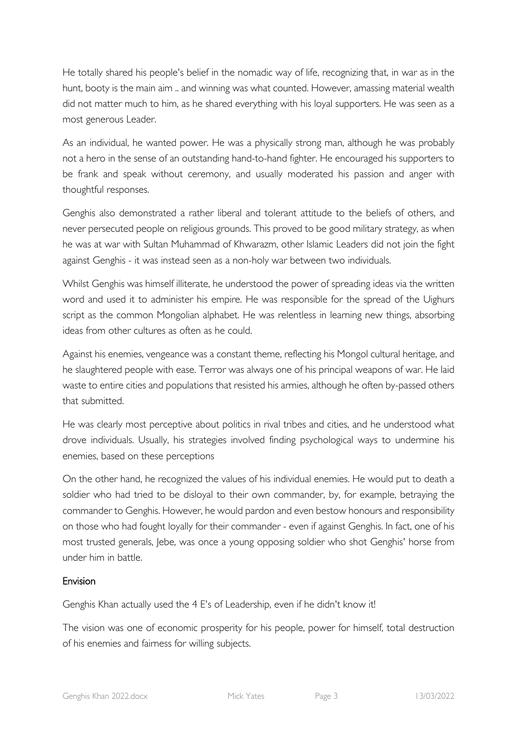He totally shared his people's belief in the nomadic way of life, recognizing that, in war as in the hunt, booty is the main aim .. and winning was what counted. However, amassing material wealth did not matter much to him, as he shared everything with his loyal supporters. He was seen as a most generous Leader.

As an individual, he wanted power. He was a physically strong man, although he was probably not a hero in the sense of an outstanding hand-to-hand fighter. He encouraged his supporters to be frank and speak without ceremony, and usually moderated his passion and anger with thoughtful responses.

Genghis also demonstrated a rather liberal and tolerant attitude to the beliefs of others, and never persecuted people on religious grounds. This proved to be good military strategy, as when he was at war with Sultan Muhammad of Khwarazm, other Islamic Leaders did not join the fight against Genghis - it was instead seen as a non-holy war between two individuals.

Whilst Genghis was himself illiterate, he understood the power of spreading ideas via the written word and used it to administer his empire. He was responsible for the spread of the Uighurs script as the common Mongolian alphabet. He was relentless in learning new things, absorbing ideas from other cultures as often as he could.

Against his enemies, vengeance was a constant theme, reflecting his Mongol cultural heritage, and he slaughtered people with ease. Terror was always one of his principal weapons of war. He laid waste to entire cities and populations that resisted his armies, although he often by-passed others that submitted.

He was clearly most perceptive about politics in rival tribes and cities, and he understood what drove individuals. Usually, his strategies involved finding psychological ways to undermine his enemies, based on these perceptions

On the other hand, he recognized the values of his individual enemies. He would put to death a soldier who had tried to be disloyal to their own commander, by, for example, betraying the commander to Genghis. However, he would pardon and even bestow honours and responsibility on those who had fought loyally for their commander - even if against Genghis. In fact, one of his most trusted generals, Jebe, was once a young opposing soldier who shot Genghis' horse from under him in battle.

# Envision

Genghis Khan actually used the 4 E's of Leadership, even if he didn't know it!

The vision was one of economic prosperity for his people, power for himself, total destruction of his enemies and fairness for willing subjects.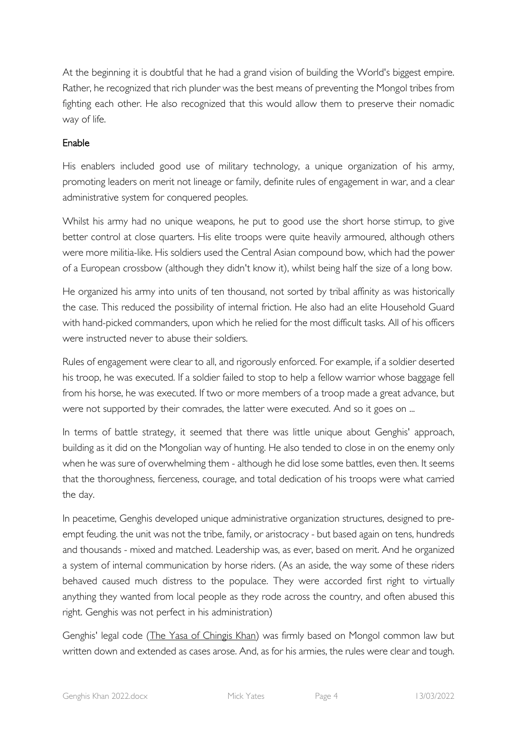At the beginning it is doubtful that he had a grand vision of building the World's biggest empire. Rather, he recognized that rich plunder was the best means of preventing the Mongol tribes from fighting each other. He also recognized that this would allow them to preserve their nomadic way of life.

# Enable

His enablers included good use of military technology, a unique organization of his army, promoting leaders on merit not lineage or family, definite rules of engagement in war, and a clear administrative system for conquered peoples.

Whilst his army had no unique weapons, he put to good use the short horse stirrup, to give better control at close quarters. His elite troops were quite heavily armoured, although others were more militia-like. His soldiers used the Central Asian compound bow, which had the power of a European crossbow (although they didn't know it), whilst being half the size of a long bow.

He organized his army into units of ten thousand, not sorted by tribal affinity as was historically the case. This reduced the possibility of internal friction. He also had an elite Household Guard with hand-picked commanders, upon which he relied for the most difficult tasks. All of his officers were instructed never to abuse their soldiers.

Rules of engagement were clear to all, and rigorously enforced. For example, if a soldier deserted his troop, he was executed. If a soldier failed to stop to help a fellow warrior whose baggage fell from his horse, he was executed. If two or more members of a troop made a great advance, but were not supported by their comrades, the latter were executed. And so it goes on ...

In terms of battle strategy, it seemed that there was little unique about Genghis' approach, building as it did on the Mongolian way of hunting. He also tended to close in on the enemy only when he was sure of overwhelming them - although he did lose some battles, even then. It seems that the thoroughness, fierceness, courage, and total dedication of his troops were what carried the day.

In peacetime, Genghis developed unique administrative organization structures, designed to preempt feuding. the unit was not the tribe, family, or aristocracy - but based again on tens, hundreds and thousands - mixed and matched. Leadership was, as ever, based on merit. And he organized a system of internal communication by horse riders. (As an aside, the way some of these riders behaved caused much distress to the populace. They were accorded first right to virtually anything they wanted from local people as they rode across the country, and often abused this right. Genghis was not perfect in his administration)

Genghis' legal code (The Yasa of Chingis Khan) was firmly based on Mongol common law but written down and extended as cases arose. And, as for his armies, the rules were clear and tough.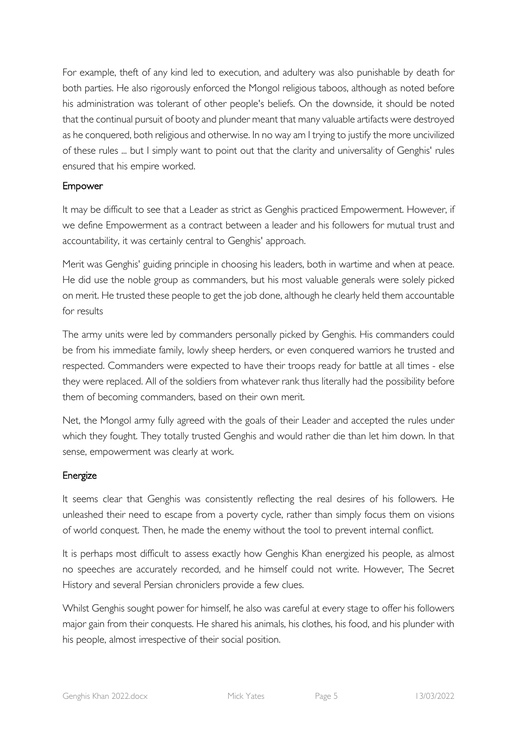For example, theft of any kind led to execution, and adultery was also punishable by death for both parties. He also rigorously enforced the Mongol religious taboos, although as noted before his administration was tolerant of other people's beliefs. On the downside, it should be noted that the continual pursuit of booty and plunder meant that many valuable artifacts were destroyed as he conquered, both religious and otherwise. In no way am I trying to justify the more uncivilized of these rules ... but I simply want to point out that the clarity and universality of Genghis' rules ensured that his empire worked.

## Empower

It may be difficult to see that a Leader as strict as Genghis practiced Empowerment. However, if we define Empowerment as a contract between a leader and his followers for mutual trust and accountability, it was certainly central to Genghis' approach.

Merit was Genghis' guiding principle in choosing his leaders, both in wartime and when at peace. He did use the noble group as commanders, but his most valuable generals were solely picked on merit. He trusted these people to get the job done, although he clearly held them accountable for results

The army units were led by commanders personally picked by Genghis. His commanders could be from his immediate family, lowly sheep herders, or even conquered warriors he trusted and respected. Commanders were expected to have their troops ready for battle at all times - else they were replaced. All of the soldiers from whatever rank thus literally had the possibility before them of becoming commanders, based on their own merit.

Net, the Mongol army fully agreed with the goals of their Leader and accepted the rules under which they fought. They totally trusted Genghis and would rather die than let him down. In that sense, empowerment was clearly at work.

## Energize

It seems clear that Genghis was consistently reflecting the real desires of his followers. He unleashed their need to escape from a poverty cycle, rather than simply focus them on visions of world conquest. Then, he made the enemy without the tool to prevent internal conflict.

It is perhaps most difficult to assess exactly how Genghis Khan energized his people, as almost no speeches are accurately recorded, and he himself could not write. However, The Secret History and several Persian chroniclers provide a few clues.

Whilst Genghis sought power for himself, he also was careful at every stage to offer his followers major gain from their conquests. He shared his animals, his clothes, his food, and his plunder with his people, almost irrespective of their social position.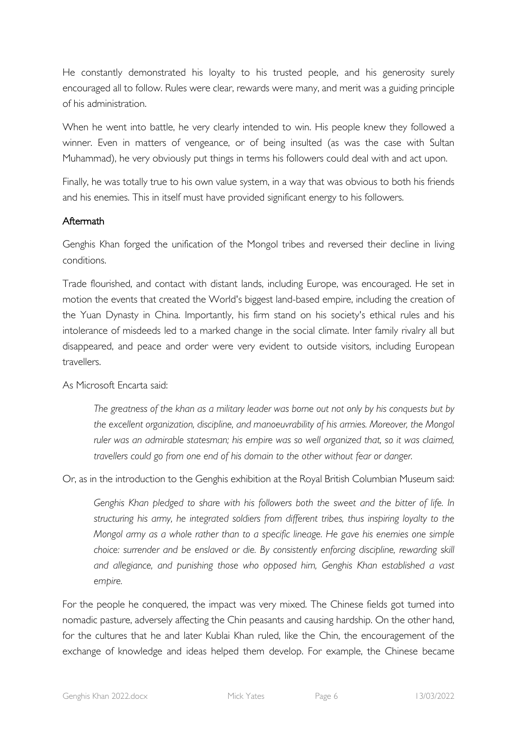He constantly demonstrated his loyalty to his trusted people, and his generosity surely encouraged all to follow. Rules were clear, rewards were many, and merit was a guiding principle of his administration.

When he went into battle, he very clearly intended to win. His people knew they followed a winner. Even in matters of vengeance, or of being insulted (as was the case with Sultan Muhammad), he very obviously put things in terms his followers could deal with and act upon.

Finally, he was totally true to his own value system, in a way that was obvious to both his friends and his enemies. This in itself must have provided significant energy to his followers.

# Aftermath

Genghis Khan forged the unification of the Mongol tribes and reversed their decline in living conditions.

Trade flourished, and contact with distant lands, including Europe, was encouraged. He set in motion the events that created the World's biggest land-based empire, including the creation of the Yuan Dynasty in China. Importantly, his firm stand on his society's ethical rules and his intolerance of misdeeds led to a marked change in the social climate. Inter family rivalry all but disappeared, and peace and order were very evident to outside visitors, including European travellers.

As Microsoft Encarta said:

*The greatness of the khan as a military leader was borne out not only by his conquests but by the excellent organization, discipline, and manoeuvrability of his armies. Moreover, the Mongol ruler was an admirable statesman; his empire was so well organized that, so it was claimed, travellers could go from one end of his domain to the other without fear or danger.*

Or, as in the introduction to the Genghis exhibition at the Royal British Columbian Museum said:

*Genghis Khan pledged to share with his followers both the sweet and the bitter of life. In structuring his army, he integrated soldiers from different tribes, thus inspiring loyalty to the Mongol army as a whole rather than to a specific lineage. He gave his enemies one simple choice: surrender and be enslaved or die. By consistently enforcing discipline, rewarding skill and allegiance, and punishing those who opposed him, Genghis Khan established a vast empire.*

For the people he conquered, the impact was very mixed. The Chinese fields got turned into nomadic pasture, adversely affecting the Chin peasants and causing hardship. On the other hand, for the cultures that he and later Kublai Khan ruled, like the Chin, the encouragement of the exchange of knowledge and ideas helped them develop. For example, the Chinese became